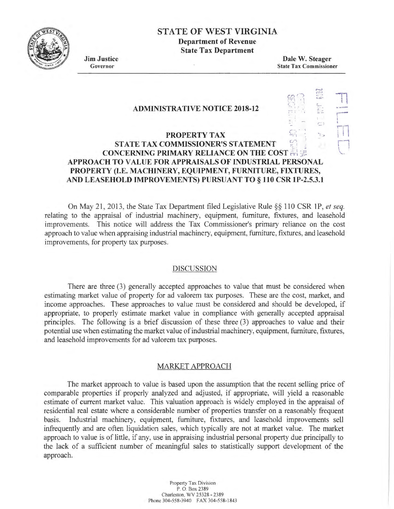

# **STATE OF WEST VIRGINIA**

**Department of Revenue State Tax Department** 

**Jim Justice**  Governor

**Dale W. Steager**  State Tax Commissioner

 $\subset$  ).

 $\overline{\mathbb{R}}$ I I

 $\mathfrak{m} \mathfrak{D}$  $l \rightarrow l$  $\subset$  )

#### **ADMINISTRATIVE NOTICE 2018-12**

## **PROPERTY TAX** PROPERTY TAX **EXECUTES STATE TAX COMMISSIONER'S STATEMENT CONCERNING PRIMARY RELIANCE ON THE COST**  $\div$ **APPROACH TO VALUE FOR APPRAISALS OF INDUSTRIAL PERSONAL PROPERTY (I.E. MACHINERY, EQUIPMENT, FURNITURE, FIXTURES, AND LEASEHOLD IMPROVEMENTS) PURSUANT TO§ 110 CSR lP-2.5.3.1**

On May 21, 2013, the State Tax Department filed Legislative Rule §§ 110 CSR 1P, *et seq.* relating to the appraisal of industrial machinery, equipment, furniture, fixtures, and leasehold improvements. This notice will address the Tax Commissioner's primary reliance on the cost approach to value when appraising industrial machinery, equipment, furniture, fixtures, and leasehold improvements, for property tax purposes.

#### DISCUSSION

There are three (3) generally accepted approaches to value that must be considered when estimating market value of property for ad valorem tax purposes. These are the cost, market, and income approaches. These approaches to value must be considered and should be developed, if appropriate, to properly estimate market value in compliance with generally accepted appraisal principles. The following is a brief discussion of these three (3) approaches to value and their potential use when estimating the market value of industrial machinery, equipment, furniture, fixtures, and leasehold improvements for ad valorem tax purposes.

### MARKET APPROACH

The market approach to value is based upon the assumption that the recent selling price of comparable properties if properly analyzed and adjusted, if appropriate, will yield a reasonable estimate of current market value. This valuation approach is widely employed in the appraisal of residential real estate where a considerable number of properties transfer on a reasonably frequent basis. Industrial machinery, equipment, furniture, fixtures, and leasehold improvements sell infrequently and are often liquidation sales, which typically are not at market value. The market approach to value is of little, if any, use in appraising industrial personal property due principally to the lack of a sufficient number of meaningful sales to statistically support development of the approach.

> Property Tax Division P.O. Box 2389 Charleston, WV 25328 - 2389 Phone 304-558-3940 FAX 304-558-1843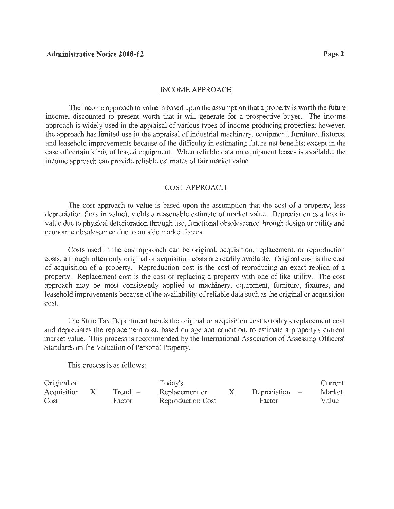#### INCOME APPROACH

The income approach to value is based upon the assumption that a property is worth the future income, discounted to present worth that it will generate for a prospective buyer. The income approach is widely used in the appraisal of various types of income producing properties; however, the approach has limited use in the appraisal of industrial machinery, equipment, furniture, fixtures, and leasehold improvements because of the difficulty in estimating future net benefits; except in the case of certain kinds of leased equipment. When reliable data on equipment leases is available, the income approach can provide reliable estimates of fair market value.

#### COST APPROACH

The cost approach to value is based upon the assumption that the cost of a property, less depreciation (loss in value), yields a reasonable estimate of market value. Depreciation is a loss in value due to physical deterioration through use, functional obsolescence through design or utility and economic obsolescence due to outside market forces.

Costs used in the cost approach can be original, acquisition, replacement, or reproduction costs, although often only original or acquisition costs are readily available. Original cost is the cost of acquisition of a property. Reproduction cost is the cost of reproducing an exact replica of a property. Replacement cost is the cost of replacing a property with one of like utility. The cost approach may be most consistently applied to machinery, equipment, furniture, fixtures, and leasehold improvements because of the availability of reliable data such as the original or acquisition cost.

The State Tax Department trends the original or acquisition cost to today's replacement cost and depreciates the replacement cost, based on age and condition, to estimate a property's current market value. This process is recommended by the International Association of Assessing Officers' Standards on the Valuation of Personal Property.

This process is as follows:

| Original or |           | Today's           |                  | Current |
|-------------|-----------|-------------------|------------------|---------|
| Acquisition | $Trend =$ | Replacement or    | Depreciation $=$ | Market  |
| Cost        | Factor    | Reproduction Cost | Factor           | Value   |